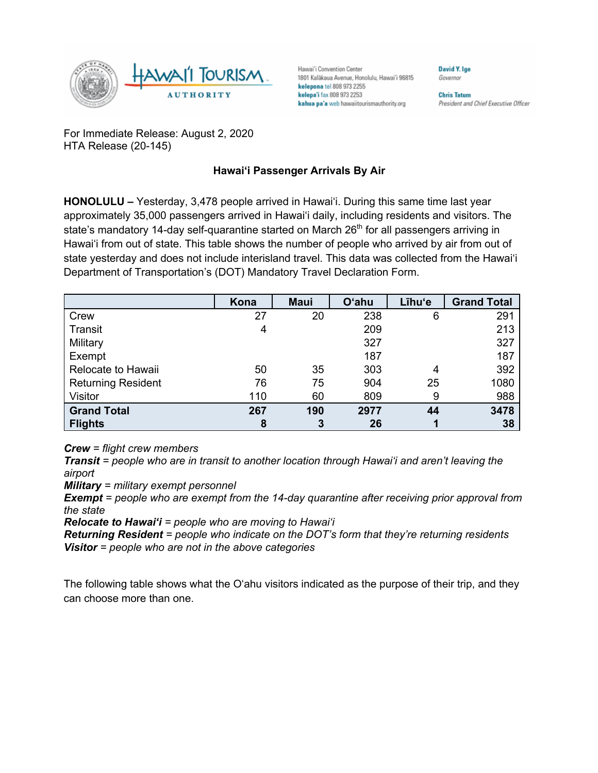

Hawai'i Convention Center 1801 Kalākaua Avenue, Honolulu, Hawai'i 96815 kelepona tel 808 973 2255 kelepa'i fax 808 973 2253 kahua pa'a web hawaiitourismauthority.org

Governor **Chris Tatum** 

**David Y. Ige** 

President and Chief Executive Officer

For Immediate Release: August 2, 2020 HTA Release (20-145)

## **Hawai'i Passenger Arrivals By Air**

**HONOLULU –** Yesterday, 3,478 people arrived in Hawai'i. During this same time last year approximately 35,000 passengers arrived in Hawai'i daily, including residents and visitors. The state's mandatory 14-day self-quarantine started on March  $26<sup>th</sup>$  for all passengers arriving in Hawai'i from out of state. This table shows the number of people who arrived by air from out of state yesterday and does not include interisland travel. This data was collected from the Hawai'i Department of Transportation's (DOT) Mandatory Travel Declaration Form.

|                           | Kona | <b>Maui</b> | <b>O'ahu</b> | Līhu'e | <b>Grand Total</b> |
|---------------------------|------|-------------|--------------|--------|--------------------|
| Crew                      | 27   | 20          | 238          | 6      | 291                |
| Transit                   | 4    |             | 209          |        | 213                |
| Military                  |      |             | 327          |        | 327                |
| Exempt                    |      |             | 187          |        | 187                |
| Relocate to Hawaii        | 50   | 35          | 303          | 4      | 392                |
| <b>Returning Resident</b> | 76   | 75          | 904          | 25     | 1080               |
| <b>Visitor</b>            | 110  | 60          | 809          | 9      | 988                |
| <b>Grand Total</b>        | 267  | 190         | 2977         | 44     | 3478               |
| <b>Flights</b>            | 8    | 3           | 26           |        | 38                 |

*Crew = flight crew members*

*Transit = people who are in transit to another location through Hawai'i and aren't leaving the airport*

*Military = military exempt personnel*

*Exempt = people who are exempt from the 14-day quarantine after receiving prior approval from the state*

*Relocate to Hawai'i = people who are moving to Hawai'i*

*Returning Resident = people who indicate on the DOT's form that they're returning residents Visitor = people who are not in the above categories*

The following table shows what the O'ahu visitors indicated as the purpose of their trip, and they can choose more than one.